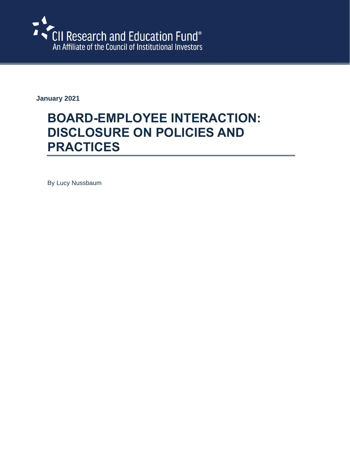

**January 2021**

# **BOARD-EMPLOYEE INTERACTION: DISCLOSURE ON POLICIES AND PRACTICES**

By Lucy Nussbaum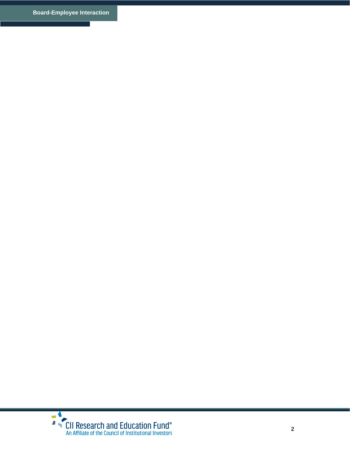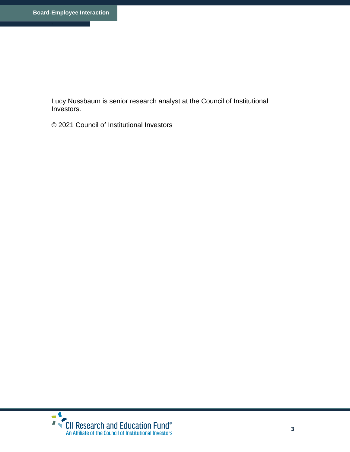Lucy Nussbaum is senior research analyst at the Council of Institutional Investors.

© 2021 Council of Institutional Investors

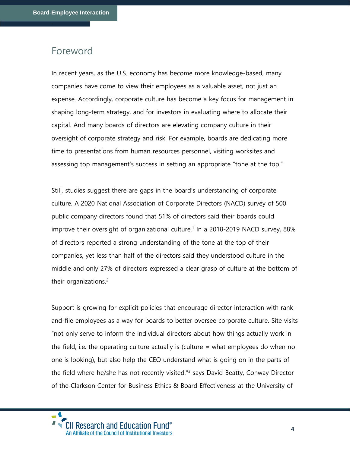### Foreword

In recent years, as the U.S. economy has become more knowledge-based, many companies have come to view their employees as a valuable asset, not just an expense. Accordingly, corporate culture has become a key focus for management in shaping long-term strategy, and for investors in evaluating where to allocate their capital. And many boards of directors are elevating company culture in their oversight of corporate strategy and risk. For example, boards are dedicating more time to presentations from human resources personnel, visiting worksites and assessing top management's success in setting an appropriate "tone at the top."

Still, studies suggest there are gaps in the board's understanding of corporate culture. A 2020 National Association of Corporate Directors (NACD) survey of 500 public company directors found that 51% of directors said their boards could improve their oversight of organizational culture.<sup>1</sup> In a 2018-2019 NACD survey, 88% of directors reported a strong understanding of the tone at the top of their companies, yet less than half of the directors said they understood culture in the middle and only 27% of directors expressed a clear grasp of culture at the bottom of their organizations. 2

Support is growing for explicit policies that encourage director interaction with rankand-file employees as a way for boards to better oversee corporate culture. Site visits "not only serve to inform the individual directors about how things actually work in the field, i.e. the operating culture actually is (culture = what employees do when no one is looking), but also help the CEO understand what is going on in the parts of the field where he/she has not recently visited,<sup>"3</sup> says David Beatty, Conway Director of the Clarkson Center for Business Ethics & Board Effectiveness at the University of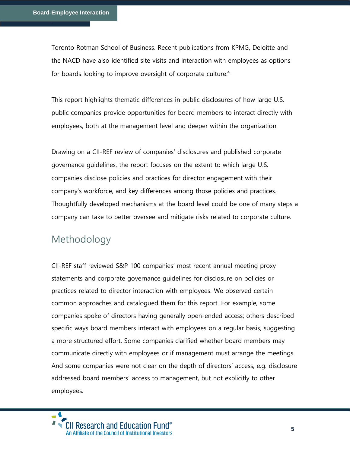Toronto Rotman School of Business. Recent publications from KPMG, Deloitte and the NACD have also identified site visits and interaction with employees as options for boards looking to improve oversight of corporate culture.<sup>4</sup>

This report highlights thematic differences in public disclosures of how large U.S. public companies provide opportunities for board members to interact directly with employees, both at the management level and deeper within the organization.

Drawing on a CII-REF review of companies' disclosures and published corporate governance guidelines, the report focuses on the extent to which large U.S. companies disclose policies and practices for director engagement with their company's workforce, and key differences among those policies and practices. Thoughtfully developed mechanisms at the board level could be one of many steps a company can take to better oversee and mitigate risks related to corporate culture.

### Methodology

CII-REF staff reviewed S&P 100 companies' most recent annual meeting proxy statements and corporate governance guidelines for disclosure on policies or practices related to director interaction with employees. We observed certain common approaches and catalogued them for this report. For example, some companies spoke of directors having generally open-ended access; others described specific ways board members interact with employees on a regular basis, suggesting a more structured effort. Some companies clarified whether board members may communicate directly with employees or if management must arrange the meetings. And some companies were not clear on the depth of directors' access, e.g. disclosure addressed board members' access to management, but not explicitly to other employees.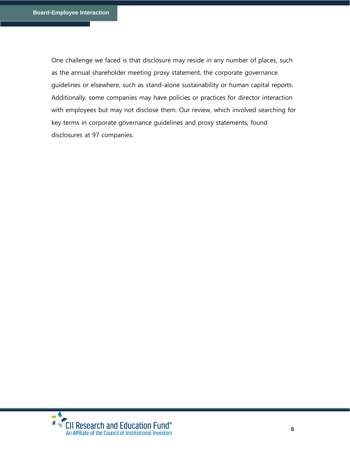One challenge we faced is that disclosure may reside in any number of places, such as the annual shareholder meeting proxy statement, the corporate governance guidelines or elsewhere, such as stand-alone sustainability or human capital reports. Additionally, some companies may have policies or practices for director interaction with employees but may not disclose them. Our review, which involved searching for key terms in corporate governance guidelines and proxy statements, found disclosures at 97 companies.

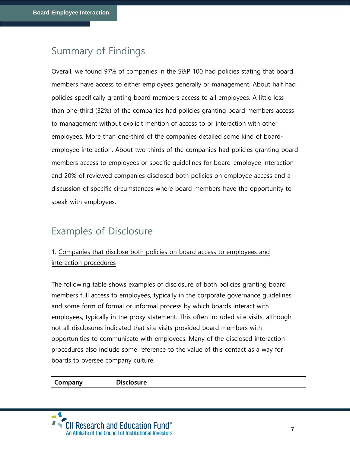# Summary of Findings

Overall, we found 97% of companies in the S&P 100 had policies stating that board members have access to either employees generally or management. About half had policies specifically granting board members access to all employees. A little less than one-third (32%) of the companies had policies granting board members access to management without explicit mention of access to or interaction with other employees. More than one-third of the companies detailed some kind of boardemployee interaction. About two-thirds of the companies had policies granting board members access to employees or specific guidelines for board-employee interaction and 20% of reviewed companies disclosed both policies on employee access and a discussion of specific circumstances where board members have the opportunity to speak with employees.

# Examples of Disclosure

#### 1. Companies that disclose both policies on board access to employees and interaction procedures

The following table shows examples of disclosure of both policies granting board members full access to employees, typically in the corporate governance guidelines, and some form of formal or informal process by which boards interact with employees, typically in the proxy statement. This often included site visits, although not all disclosures indicated that site visits provided board members with opportunities to communicate with employees. Many of the disclosed interaction procedures also include some reference to the value of this contact as a way for boards to oversee company culture.

**Company Disclosure**

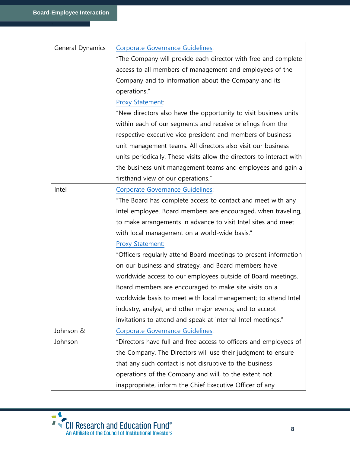| General Dynamics | <b>Corporate Governance Guidelines:</b>                               |
|------------------|-----------------------------------------------------------------------|
|                  | "The Company will provide each director with free and complete        |
|                  | access to all members of management and employees of the              |
|                  | Company and to information about the Company and its                  |
|                  | operations."                                                          |
|                  | Proxy Statement:                                                      |
|                  | "New directors also have the opportunity to visit business units      |
|                  | within each of our segments and receive briefings from the            |
|                  | respective executive vice president and members of business           |
|                  | unit management teams. All directors also visit our business          |
|                  | units periodically. These visits allow the directors to interact with |
|                  | the business unit management teams and employees and gain a           |
|                  | firsthand view of our operations."                                    |
| Intel            | <b>Corporate Governance Guidelines:</b>                               |
|                  | "The Board has complete access to contact and meet with any           |
|                  | Intel employee. Board members are encouraged, when traveling,         |
|                  | to make arrangements in advance to visit Intel sites and meet         |
|                  | with local management on a world-wide basis."                         |
|                  | Proxy Statement:                                                      |
|                  | "Officers regularly attend Board meetings to present information      |
|                  | on our business and strategy, and Board members have                  |
|                  | worldwide access to our employees outside of Board meetings.          |
|                  | Board members are encouraged to make site visits on a                 |
|                  | worldwide basis to meet with local management; to attend Intel        |
|                  | industry, analyst, and other major events; and to accept              |
|                  | invitations to attend and speak at internal Intel meetings."          |
| Johnson &        | Corporate Governance Guidelines:                                      |
| Johnson          | "Directors have full and free access to officers and employees of     |
|                  | the Company. The Directors will use their judgment to ensure          |
|                  | that any such contact is not disruptive to the business               |
|                  | operations of the Company and will, to the extent not                 |
|                  | inappropriate, inform the Chief Executive Officer of any              |

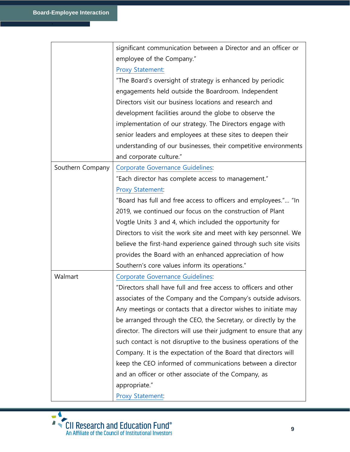|                  | significant communication between a Director and an officer or     |
|------------------|--------------------------------------------------------------------|
|                  | employee of the Company."                                          |
|                  | Proxy Statement:                                                   |
|                  | "The Board's oversight of strategy is enhanced by periodic         |
|                  | engagements held outside the Boardroom. Independent                |
|                  | Directors visit our business locations and research and            |
|                  | development facilities around the globe to observe the             |
|                  | implementation of our strategy. The Directors engage with          |
|                  | senior leaders and employees at these sites to deepen their        |
|                  | understanding of our businesses, their competitive environments    |
|                  | and corporate culture."                                            |
| Southern Company | <b>Corporate Governance Guidelines:</b>                            |
|                  | "Each director has complete access to management."                 |
|                  | <b>Proxy Statement:</b>                                            |
|                  | "Board has full and free access to officers and employees." "In    |
|                  | 2019, we continued our focus on the construction of Plant          |
|                  | Vogtle Units 3 and 4, which included the opportunity for           |
|                  | Directors to visit the work site and meet with key personnel. We   |
|                  | believe the first-hand experience gained through such site visits  |
|                  | provides the Board with an enhanced appreciation of how            |
|                  | Southern's core values inform its operations."                     |
| Walmart          | <b>Corporate Governance Guidelines:</b>                            |
|                  | "Directors shall have full and free access to officers and other   |
|                  | associates of the Company and the Company's outside advisors.      |
|                  | Any meetings or contacts that a director wishes to initiate may    |
|                  | be arranged through the CEO, the Secretary, or directly by the     |
|                  | director. The directors will use their judgment to ensure that any |
|                  | such contact is not disruptive to the business operations of the   |
|                  | Company. It is the expectation of the Board that directors will    |
|                  | keep the CEO informed of communications between a director         |
|                  | and an officer or other associate of the Company, as               |
|                  | appropriate."                                                      |
|                  | <b>Proxy Statement:</b>                                            |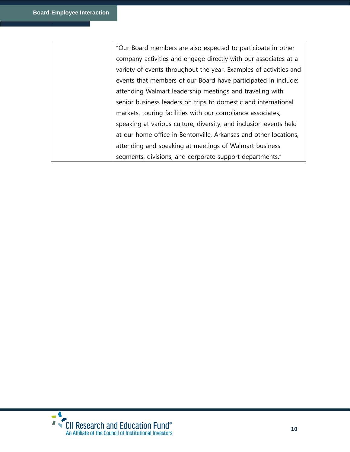"Our Board members are also expected to participate in other company activities and engage directly with our associates at a variety of events throughout the year. Examples of activities and events that members of our Board have participated in include: attending Walmart leadership meetings and traveling with senior business leaders on trips to domestic and international markets, touring facilities with our compliance associates, speaking at various culture, diversity, and inclusion events held at our home office in Bentonville, Arkansas and other locations, attending and speaking at meetings of Walmart business segments, divisions, and corporate support departments."

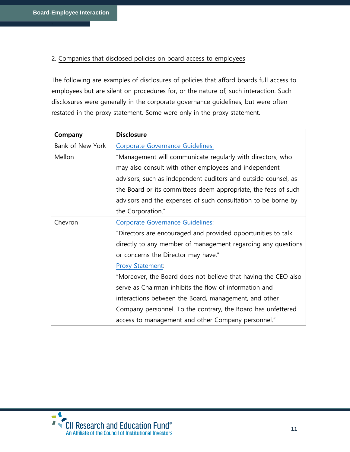#### 2. Companies that disclosed policies on board access to employees

The following are examples of disclosures of policies that afford boards full access to employees but are silent on procedures for, or the nature of, such interaction. Such disclosures were generally in the corporate governance guidelines, but were often restated in the proxy statement. Some were only in the proxy statement.

| Company          | <b>Disclosure</b>                                              |
|------------------|----------------------------------------------------------------|
| Bank of New York | Corporate Governance Guidelines:                               |
| Mellon           | "Management will communicate regularly with directors, who     |
|                  | may also consult with other employees and independent          |
|                  | advisors, such as independent auditors and outside counsel, as |
|                  | the Board or its committees deem appropriate, the fees of such |
|                  | advisors and the expenses of such consultation to be borne by  |
|                  | the Corporation."                                              |
| Chevron          | Corporate Governance Guidelines:                               |
|                  | "Directors are encouraged and provided opportunities to talk   |
|                  | directly to any member of management regarding any questions   |
|                  | or concerns the Director may have."                            |
|                  | <b>Proxy Statement:</b>                                        |
|                  | "Moreover, the Board does not believe that having the CEO also |
|                  | serve as Chairman inhibits the flow of information and         |
|                  | interactions between the Board, management, and other          |
|                  | Company personnel. To the contrary, the Board has unfettered   |
|                  | access to management and other Company personnel."             |

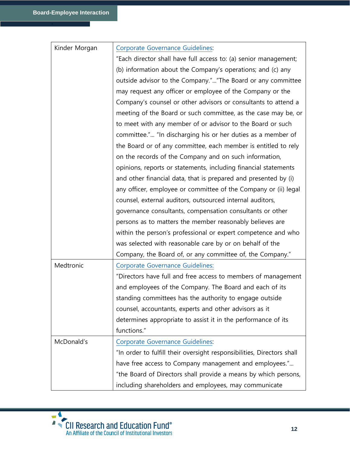| Kinder Morgan | <b>Corporate Governance Guidelines:</b>                                |
|---------------|------------------------------------------------------------------------|
|               | "Each director shall have full access to: (a) senior management;       |
|               | (b) information about the Company's operations; and (c) any            |
|               | outside advisor to the Company.""The Board or any committee            |
|               | may request any officer or employee of the Company or the              |
|               | Company's counsel or other advisors or consultants to attend a         |
|               | meeting of the Board or such committee, as the case may be, or         |
|               | to meet with any member of or advisor to the Board or such             |
|               | committee." "In discharging his or her duties as a member of           |
|               | the Board or of any committee, each member is entitled to rely         |
|               | on the records of the Company and on such information,                 |
|               | opinions, reports or statements, including financial statements        |
|               | and other financial data, that is prepared and presented by (i)        |
|               | any officer, employee or committee of the Company or (ii) legal        |
|               | counsel, external auditors, outsourced internal auditors,              |
|               | governance consultants, compensation consultants or other              |
|               | persons as to matters the member reasonably believes are               |
|               | within the person's professional or expert competence and who          |
|               | was selected with reasonable care by or on behalf of the               |
|               | Company, the Board of, or any committee of, the Company."              |
| Medtronic     | <b>Corporate Governance Guidelines:</b>                                |
|               | "Directors have full and free access to members of management          |
|               | and employees of the Company. The Board and each of its                |
|               | standing committees has the authority to engage outside                |
|               | counsel, accountants, experts and other advisors as it                 |
|               | determines appropriate to assist it in the performance of its          |
|               | functions."                                                            |
| McDonald's    | <b>Corporate Governance Guidelines:</b>                                |
|               | "In order to fulfill their oversight responsibilities, Directors shall |
|               | have free access to Company management and employees."                 |
|               | "the Board of Directors shall provide a means by which persons,        |
|               | including shareholders and employees, may communicate                  |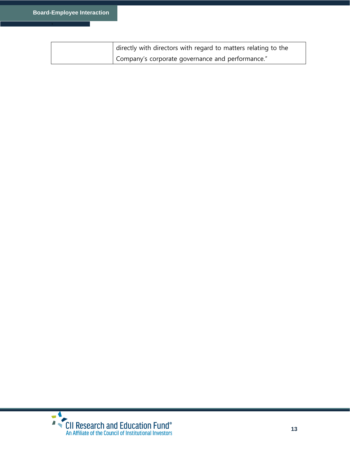| directly with directors with regard to matters relating to the |
|----------------------------------------------------------------|
| Company's corporate governance and performance."               |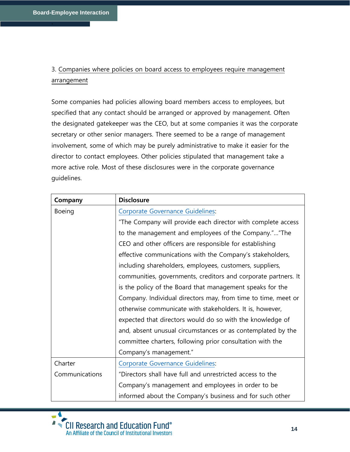3. Companies where policies on board access to employees require management arrangement

Some companies had policies allowing board members access to employees, but specified that any contact should be arranged or approved by management. Often the designated gatekeeper was the CEO, but at some companies it was the corporate secretary or other senior managers. There seemed to be a range of management involvement, some of which may be purely administrative to make it easier for the director to contact employees. Other policies stipulated that management take a more active role. Most of these disclosures were in the corporate governance guidelines.

| Company        | <b>Disclosure</b>                                              |
|----------------|----------------------------------------------------------------|
| Boeing         | Corporate Governance Guidelines:                               |
|                | "The Company will provide each director with complete access   |
|                | to the management and employees of the Company.""The           |
|                | CEO and other officers are responsible for establishing        |
|                | effective communications with the Company's stakeholders,      |
|                | including shareholders, employees, customers, suppliers,       |
|                | communities, governments, creditors and corporate partners. It |
|                | is the policy of the Board that management speaks for the      |
|                | Company. Individual directors may, from time to time, meet or  |
|                | otherwise communicate with stakeholders. It is, however,       |
|                | expected that directors would do so with the knowledge of      |
|                | and, absent unusual circumstances or as contemplated by the    |
|                | committee charters, following prior consultation with the      |
|                | Company's management."                                         |
| Charter        | Corporate Governance Guidelines:                               |
| Communications | "Directors shall have full and unrestricted access to the      |
|                | Company's management and employees in order to be              |
|                | informed about the Company's business and for such other       |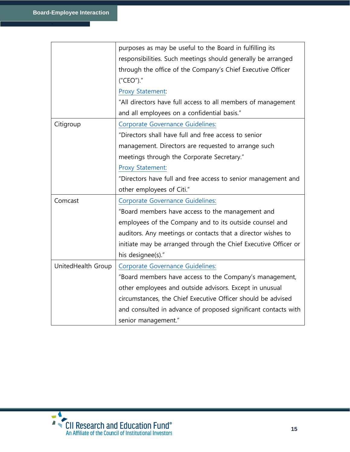|                    | purposes as may be useful to the Board in fulfilling its        |
|--------------------|-----------------------------------------------------------------|
|                    | responsibilities. Such meetings should generally be arranged    |
|                    | through the office of the Company's Chief Executive Officer     |
|                    | ("CEO")."                                                       |
|                    | <b>Proxy Statement:</b>                                         |
|                    | "All directors have full access to all members of management    |
|                    | and all employees on a confidential basis."                     |
| Citigroup          | Corporate Governance Guidelines:                                |
|                    | "Directors shall have full and free access to senior            |
|                    | management. Directors are requested to arrange such             |
|                    | meetings through the Corporate Secretary."                      |
|                    | <b>Proxy Statement:</b>                                         |
|                    | "Directors have full and free access to senior management and   |
|                    | other employees of Citi."                                       |
| Comcast            | <b>Corporate Governance Guidelines:</b>                         |
|                    | "Board members have access to the management and                |
|                    | employees of the Company and to its outside counsel and         |
|                    | auditors. Any meetings or contacts that a director wishes to    |
|                    | initiate may be arranged through the Chief Executive Officer or |
|                    | his designee(s)."                                               |
| UnitedHealth Group | <b>Corporate Governance Guidelines:</b>                         |
|                    | "Board members have access to the Company's management,         |
|                    | other employees and outside advisors. Except in unusual         |
|                    | circumstances, the Chief Executive Officer should be advised    |
|                    | and consulted in advance of proposed significant contacts with  |
|                    | senior management."                                             |

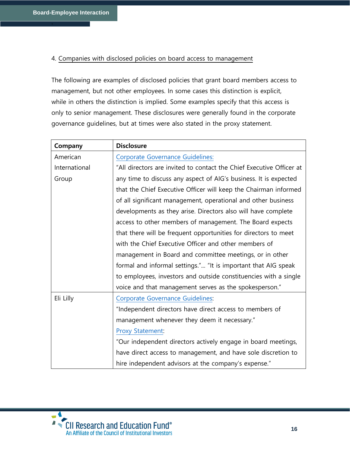#### 4. Companies with disclosed policies on board access to management

The following are examples of disclosed policies that grant board members access to management, but not other employees. In some cases this distinction is explicit, while in others the distinction is implied. Some examples specify that this access is only to senior management. These disclosures were generally found in the corporate governance guidelines, but at times were also stated in the proxy statement.

| Company       | <b>Disclosure</b>                                                    |
|---------------|----------------------------------------------------------------------|
| American      | Corporate Governance Guidelines:                                     |
| International | "All directors are invited to contact the Chief Executive Officer at |
| Group         | any time to discuss any aspect of AIG's business. It is expected     |
|               | that the Chief Executive Officer will keep the Chairman informed     |
|               | of all significant management, operational and other business        |
|               | developments as they arise. Directors also will have complete        |
|               | access to other members of management. The Board expects             |
|               | that there will be frequent opportunities for directors to meet      |
|               | with the Chief Executive Officer and other members of                |
|               | management in Board and committee meetings, or in other              |
|               | formal and informal settings." "It is important that AIG speak       |
|               | to employees, investors and outside constituencies with a single     |
|               | voice and that management serves as the spokesperson."               |
| Eli Lilly     | Corporate Governance Guidelines:                                     |
|               | "Independent directors have direct access to members of              |
|               | management whenever they deem it necessary."                         |
|               | Proxy Statement:                                                     |
|               | "Our independent directors actively engage in board meetings,        |
|               | have direct access to management, and have sole discretion to        |
|               | hire independent advisors at the company's expense."                 |

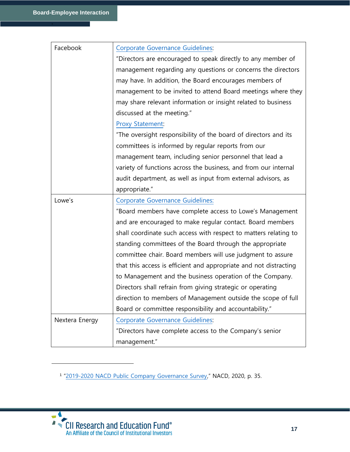| Facebook       | Corporate Governance Guidelines:                                  |
|----------------|-------------------------------------------------------------------|
|                | "Directors are encouraged to speak directly to any member of      |
|                | management regarding any questions or concerns the directors      |
|                | may have. In addition, the Board encourages members of            |
|                | management to be invited to attend Board meetings where they      |
|                | may share relevant information or insight related to business     |
|                | discussed at the meeting."                                        |
|                | <b>Proxy Statement:</b>                                           |
|                | "The oversight responsibility of the board of directors and its   |
|                | committees is informed by regular reports from our                |
|                | management team, including senior personnel that lead a           |
|                | variety of functions across the business, and from our internal   |
|                | audit department, as well as input from external advisors, as     |
|                | appropriate."                                                     |
| Lowe's         | <b>Corporate Governance Guidelines:</b>                           |
|                | "Board members have complete access to Lowe's Management          |
|                | and are encouraged to make regular contact. Board members         |
|                | shall coordinate such access with respect to matters relating to  |
|                | standing committees of the Board through the appropriate          |
|                | committee chair. Board members will use judgment to assure        |
|                | that this access is efficient and appropriate and not distracting |
|                | to Management and the business operation of the Company.          |
|                | Directors shall refrain from giving strategic or operating        |
|                | direction to members of Management outside the scope of full      |
|                | Board or committee responsibility and accountability."            |
| Nextera Energy | Corporate Governance Guidelines:                                  |
|                | "Directors have complete access to the Company's senior           |
|                | management."                                                      |



<sup>1</sup> "[2019-2020 NACD Public Company Governance Survey](https://corpgov.law.harvard.edu/wp-content/uploads/2020/01/2019-2020-Public-Company-Survey.pdf)," NACD, 2020, p. 35.